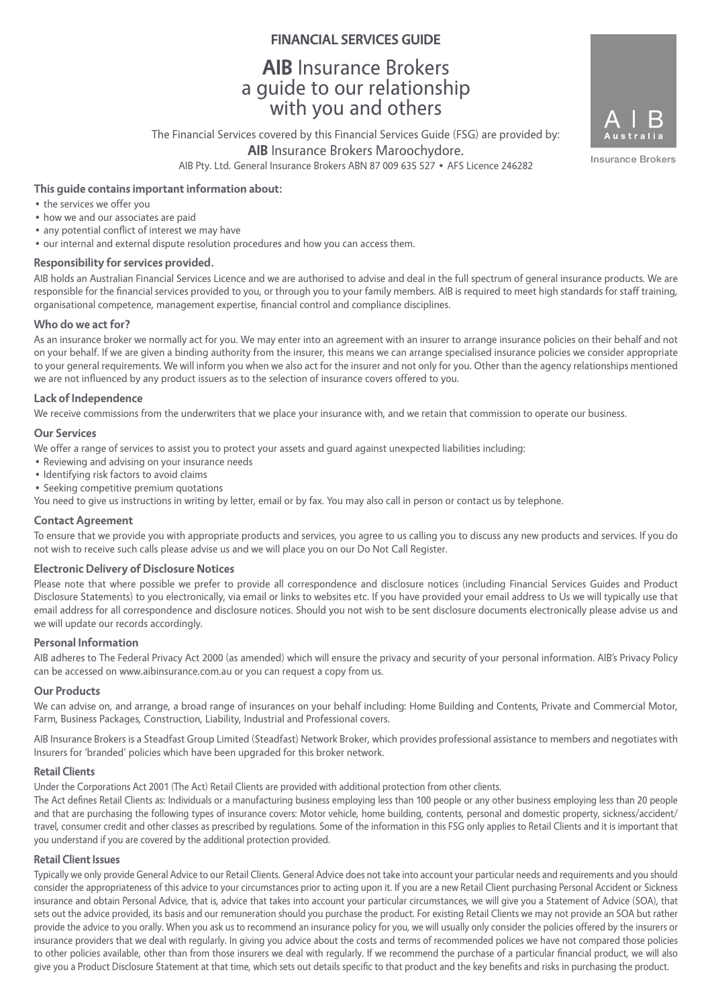# **FINANCIAL SERVICES GUIDE**

# **AIB** Insurance Brokers a guide to our relationship with you and others

The Financial Services covered by this Financial Services Guide (FSG) are provided by: **AIB** Insurance Brokers Maroochydore. AIB Pty. Ltd. General Insurance Brokers ABN 87 009 635 527 • AFS Licence 246282

Insurance Brokers

# **This guide contains important information about:**

- the services we offer you
- how we and our associates are paid
- any potential conflict of interest we may have
- our internal and external dispute resolution procedures and how you can access them.

#### **Responsibility for services provided.**

AIB holds an Australian Financial Services Licence and we are authorised to advise and deal in the full spectrum of general insurance products. We are responsible for the financial services provided to you, or through you to your family members. AIB is required to meet high standards for staff training, organisational competence, management expertise, financial control and compliance disciplines.

#### **Who do we act for?**

As an insurance broker we normally act for you. We may enter into an agreement with an insurer to arrange insurance policies on their behalf and not on your behalf. If we are given a binding authority from the insurer, this means we can arrange specialised insurance policies we consider appropriate to your general requirements. We will inform you when we also act for the insurer and not only for you. Other than the agency relationships mentioned we are not influenced by any product issuers as to the selection of insurance covers offered to you.

#### **Lack of Independence**

We receive commissions from the underwriters that we place your insurance with, and we retain that commission to operate our business.

#### **Our Services**

We offer a range of services to assist you to protect your assets and guard against unexpected liabilities including:

- Reviewing and advising on your insurance needs
- Identifying risk factors to avoid claims
- Seeking competitive premium quotations

You need to give us instructions in writing by letter, email or by fax. You may also call in person or contact us by telephone.

#### **Contact Agreement**

To ensure that we provide you with appropriate products and services, you agree to us calling you to discuss any new products and services. If you do not wish to receive such calls please advise us and we will place you on our Do Not Call Register.

#### **Electronic Delivery of Disclosure Notices**

Please note that where possible we prefer to provide all correspondence and disclosure notices (including Financial Services Guides and Product Disclosure Statements) to you electronically, via email or links to websites etc. If you have provided your email address to Us we will typically use that email address for all correspondence and disclosure notices. Should you not wish to be sent disclosure documents electronically please advise us and we will update our records accordingly.

#### **Personal Information**

AIB adheres to The Federal Privacy Act 2000 (as amended) which will ensure the privacy and security of your personal information. AIB's Privacy Policy can be accessed on www.aibinsurance.com.au or you can request a copy from us.

#### **Our Products**

We can advise on, and arrange, a broad range of insurances on your behalf including: Home Building and Contents, Private and Commercial Motor, Farm, Business Packages, Construction, Liability, Industrial and Professional covers.

AIB Insurance Brokers is a Steadfast Group Limited (Steadfast) Network Broker, which provides professional assistance to members and negotiates with Insurers for 'branded' policies which have been upgraded for this broker network.

#### **Retail Clients**

Under the Corporations Act 2001 (The Act) Retail Clients are provided with additional protection from other clients.

The Act defines Retail Clients as: Individuals or a manufacturing business employing less than 100 people or any other business employing less than 20 people and that are purchasing the following types of insurance covers: Motor vehicle, home building, contents, personal and domestic property, sickness/accident/ travel, consumer credit and other classes as prescribed by regulations. Some of the information in this FSG only applies to Retail Clients and it is important that you understand if you are covered by the additional protection provided.

### **Retail Client Issues**

Typically we only provide General Advice to our Retail Clients. General Advice does not take into account your particular needs and requirements and you should consider the appropriateness of this advice to your circumstances prior to acting upon it. If you are a new Retail Client purchasing Personal Accident or Sickness insurance and obtain Personal Advice, that is, advice that takes into account your particular circumstances, we will give you a Statement of Advice (SOA), that sets out the advice provided, its basis and our remuneration should you purchase the product. For existing Retail Clients we may not provide an SOA but rather provide the advice to you orally. When you ask us to recommend an insurance policy for you, we will usually only consider the policies offered by the insurers or insurance providers that we deal with regularly. In giving you advice about the costs and terms of recommended polices we have not compared those policies to other policies available, other than from those insurers we deal with regularly. If we recommend the purchase of a particular financial product, we will also give you a Product Disclosure Statement at that time, which sets out details specific to that product and the key benefits and risks in purchasing the product.